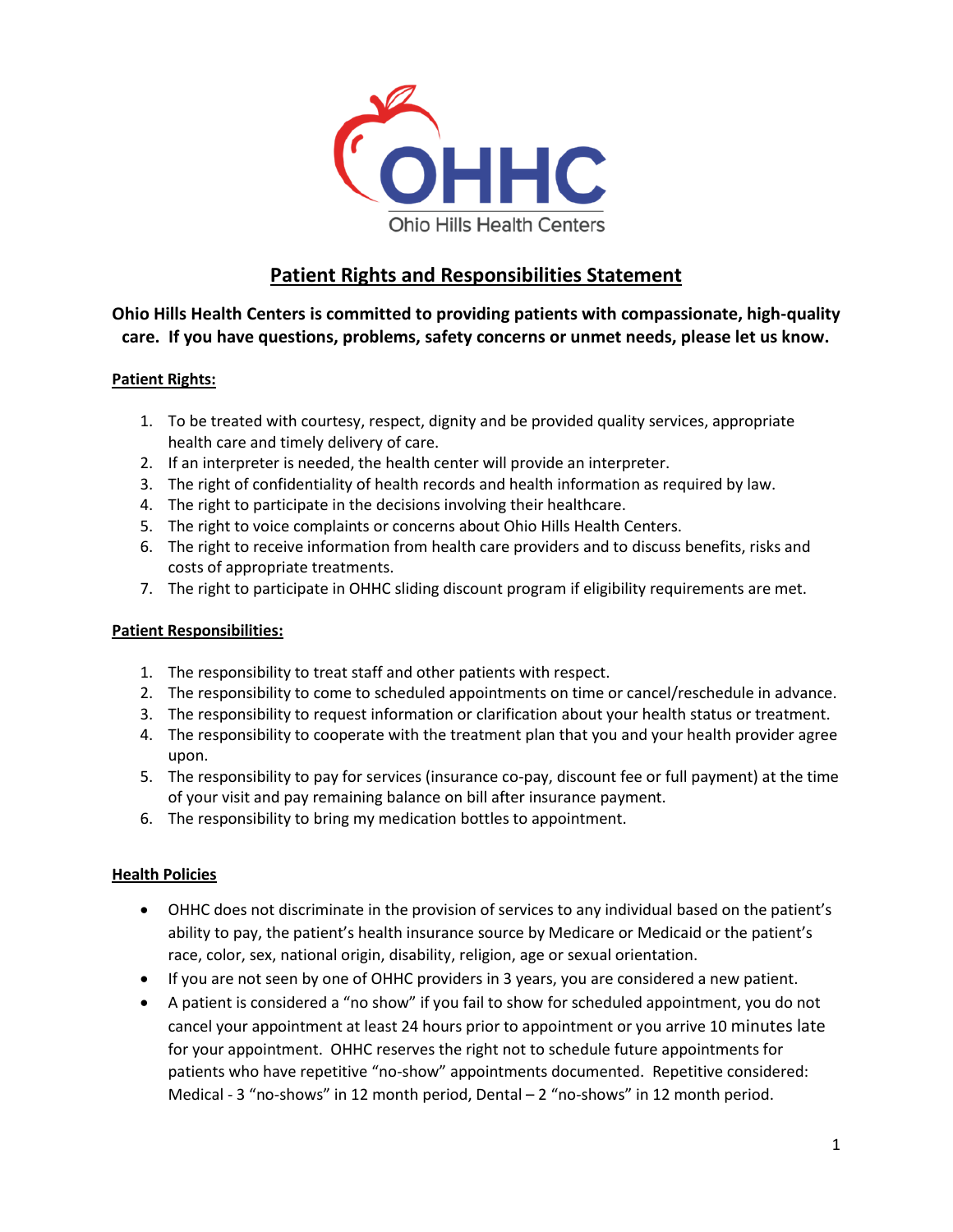

## **Patient Rights and Responsibilities Statement**

**Ohio Hills Health Centers is committed to providing patients with compassionate, high-quality care. If you have questions, problems, safety concerns or unmet needs, please let us know.** 

## **Patient Rights:**

- 1. To be treated with courtesy, respect, dignity and be provided quality services, appropriate health care and timely delivery of care.
- 2. If an interpreter is needed, the health center will provide an interpreter.
- 3. The right of confidentiality of health records and health information as required by law.
- 4. The right to participate in the decisions involving their healthcare.
- 5. The right to voice complaints or concerns about Ohio Hills Health Centers.
- 6. The right to receive information from health care providers and to discuss benefits, risks and costs of appropriate treatments.
- 7. The right to participate in OHHC sliding discount program if eligibility requirements are met.

#### **Patient Responsibilities:**

- 1. The responsibility to treat staff and other patients with respect.
- 2. The responsibility to come to scheduled appointments on time or cancel/reschedule in advance.
- 3. The responsibility to request information or clarification about your health status or treatment.
- 4. The responsibility to cooperate with the treatment plan that you and your health provider agree upon.
- 5. The responsibility to pay for services (insurance co-pay, discount fee or full payment) at the time of your visit and pay remaining balance on bill after insurance payment.
- 6. The responsibility to bring my medication bottles to appointment.

## **Health Policies**

- OHHC does not discriminate in the provision of services to any individual based on the patient's ability to pay, the patient's health insurance source by Medicare or Medicaid or the patient's race, color, sex, national origin, disability, religion, age or sexual orientation.
- If you are not seen by one of OHHC providers in 3 years, you are considered a new patient.
- A patient is considered a "no show" if you fail to show for scheduled appointment, you do not cancel your appointment at least 24 hours prior to appointment or you arrive 10 minutes late for your appointment. OHHC reserves the right not to schedule future appointments for patients who have repetitive "no-show" appointments documented. Repetitive considered: Medical - 3 "no-shows" in 12 month period, Dental – 2 "no-shows" in 12 month period.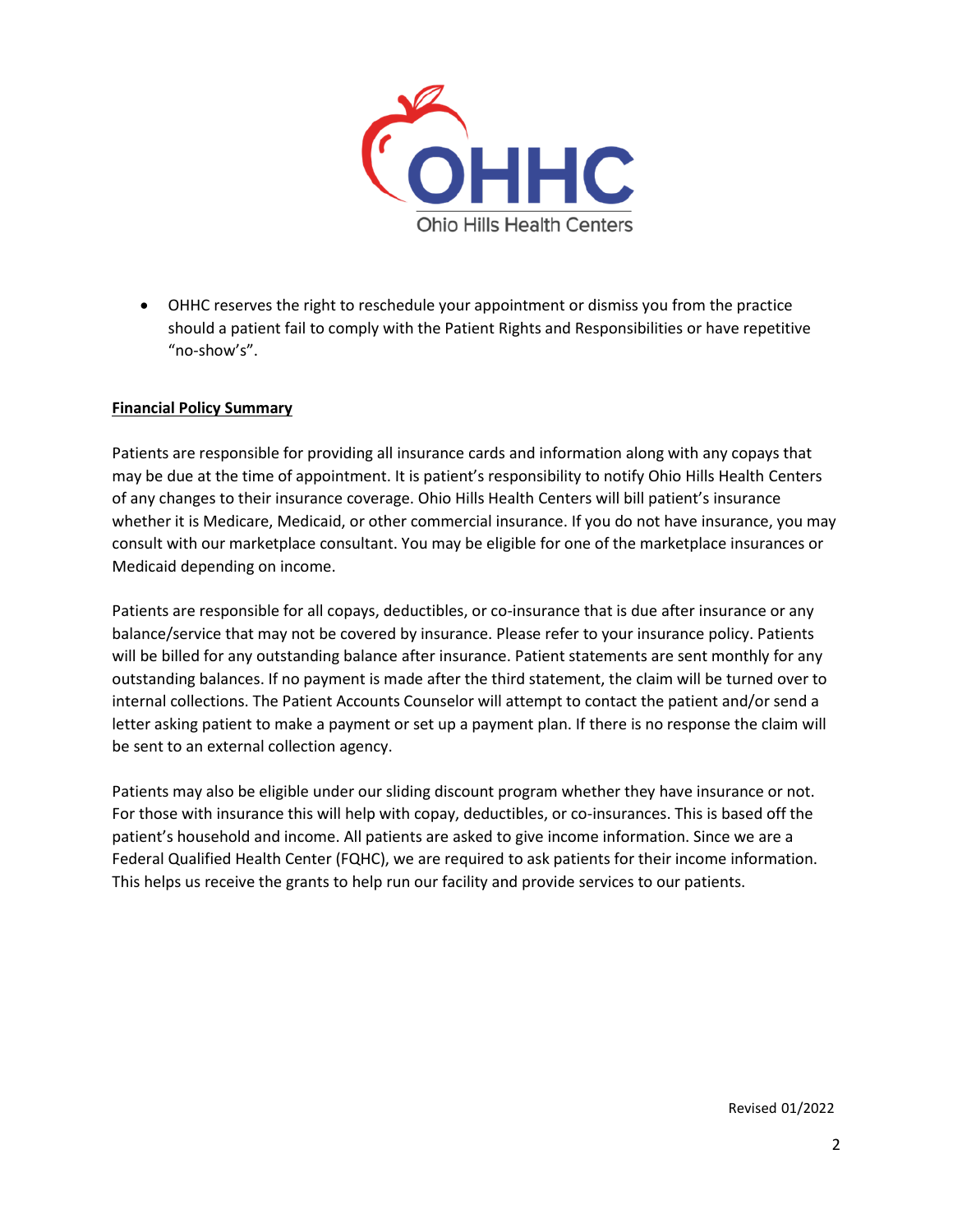

• OHHC reserves the right to reschedule your appointment or dismiss you from the practice should a patient fail to comply with the Patient Rights and Responsibilities or have repetitive "no-show's".

#### **Financial Policy Summary**

Patients are responsible for providing all insurance cards and information along with any copays that may be due at the time of appointment. It is patient's responsibility to notify Ohio Hills Health Centers of any changes to their insurance coverage. Ohio Hills Health Centers will bill patient's insurance whether it is Medicare, Medicaid, or other commercial insurance. If you do not have insurance, you may consult with our marketplace consultant. You may be eligible for one of the marketplace insurances or Medicaid depending on income.

Patients are responsible for all copays, deductibles, or co-insurance that is due after insurance or any balance/service that may not be covered by insurance. Please refer to your insurance policy. Patients will be billed for any outstanding balance after insurance. Patient statements are sent monthly for any outstanding balances. If no payment is made after the third statement, the claim will be turned over to internal collections. The Patient Accounts Counselor will attempt to contact the patient and/or send a letter asking patient to make a payment or set up a payment plan. If there is no response the claim will be sent to an external collection agency.

Patients may also be eligible under our sliding discount program whether they have insurance or not. For those with insurance this will help with copay, deductibles, or co-insurances. This is based off the patient's household and income. All patients are asked to give income information. Since we are a Federal Qualified Health Center (FQHC), we are required to ask patients for their income information. This helps us receive the grants to help run our facility and provide services to our patients.